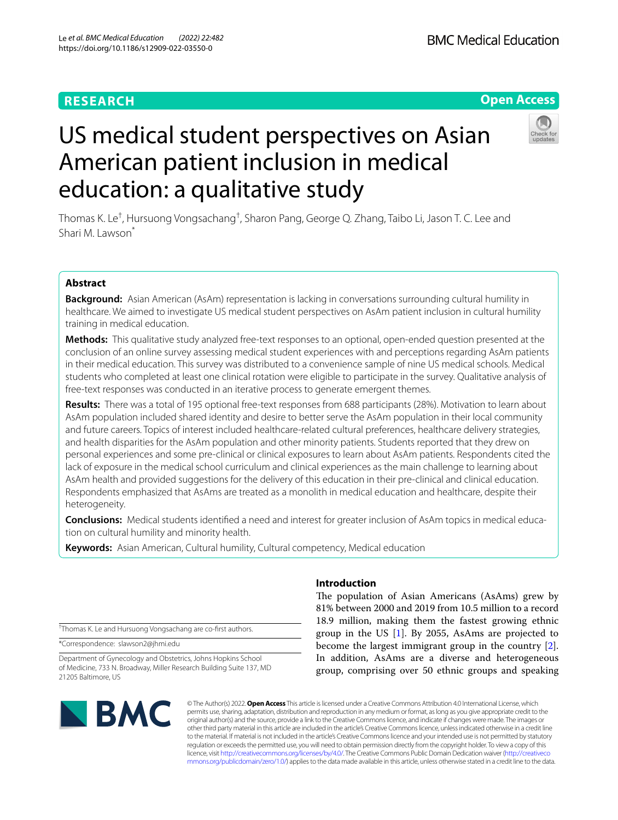# **RESEARCH**

# **Open Access**



# US medical student perspectives on Asian American patient inclusion in medical education: a qualitative study

Thomas K. Le<sup>†</sup>, Hursuong Vongsachang<sup>†</sup>, Sharon Pang, George Q. Zhang, Taibo Li, Jason T. C. Lee and Shari M. Lawson<sup>\*</sup>

# **Abstract**

**Background:** Asian American (AsAm) representation is lacking in conversations surrounding cultural humility in healthcare. We aimed to investigate US medical student perspectives on AsAm patient inclusion in cultural humility training in medical education.

**Methods:** This qualitative study analyzed free-text responses to an optional, open-ended question presented at the conclusion of an online survey assessing medical student experiences with and perceptions regarding AsAm patients in their medical education. This survey was distributed to a convenience sample of nine US medical schools. Medical students who completed at least one clinical rotation were eligible to participate in the survey. Qualitative analysis of free-text responses was conducted in an iterative process to generate emergent themes.

**Results:** There was a total of 195 optional free-text responses from 688 participants (28%). Motivation to learn about AsAm population included shared identity and desire to better serve the AsAm population in their local community and future careers. Topics of interest included healthcare-related cultural preferences, healthcare delivery strategies, and health disparities for the AsAm population and other minority patients. Students reported that they drew on personal experiences and some pre-clinical or clinical exposures to learn about AsAm patients. Respondents cited the lack of exposure in the medical school curriculum and clinical experiences as the main challenge to learning about AsAm health and provided suggestions for the delivery of this education in their pre-clinical and clinical education. Respondents emphasized that AsAms are treated as a monolith in medical education and healthcare, despite their heterogeneity.

**Conclusions:** Medical students identifed a need and interest for greater inclusion of AsAm topics in medical education on cultural humility and minority health.

**Keywords:** Asian American, Cultural humility, Cultural competency, Medical education

† Thomas K. Le and Hursuong Vongsachang are co-frst authors.

\*Correspondence: slawson2@jhmi.edu

Department of Gynecology and Obstetrics, Johns Hopkins School of Medicine, 733 N. Broadway, Miller Research Building Suite 137, MD 21205 Baltimore, US

# BMC

# **Introduction**

The population of Asian Americans (AsAms) grew by 81% between 2000 and 2019 from 10.5 million to a record 18.9 million, making them the fastest growing ethnic group in the US  $[1]$  $[1]$ . By 2055, AsAms are projected to become the largest immigrant group in the country [\[2](#page-8-1)]. In addition, AsAms are a diverse and heterogeneous group, comprising over 50 ethnic groups and speaking

© The Author(s) 2022. **Open Access** This article is licensed under a Creative Commons Attribution 4.0 International License, which permits use, sharing, adaptation, distribution and reproduction in any medium or format, as long as you give appropriate credit to the original author(s) and the source, provide a link to the Creative Commons licence, and indicate if changes were made. The images or other third party material in this article are included in the article's Creative Commons licence, unless indicated otherwise in a credit line to the material. If material is not included in the article's Creative Commons licence and your intended use is not permitted by statutory regulation or exceeds the permitted use, you will need to obtain permission directly from the copyright holder. To view a copy of this licence, visit [http://creativecommons.org/licenses/by/4.0/.](http://creativecommons.org/licenses/by/4.0/) The Creative Commons Public Domain Dedication waiver ([http://creativeco](http://creativecommons.org/publicdomain/zero/1.0/) [mmons.org/publicdomain/zero/1.0/](http://creativecommons.org/publicdomain/zero/1.0/)) applies to the data made available in this article, unless otherwise stated in a credit line to the data.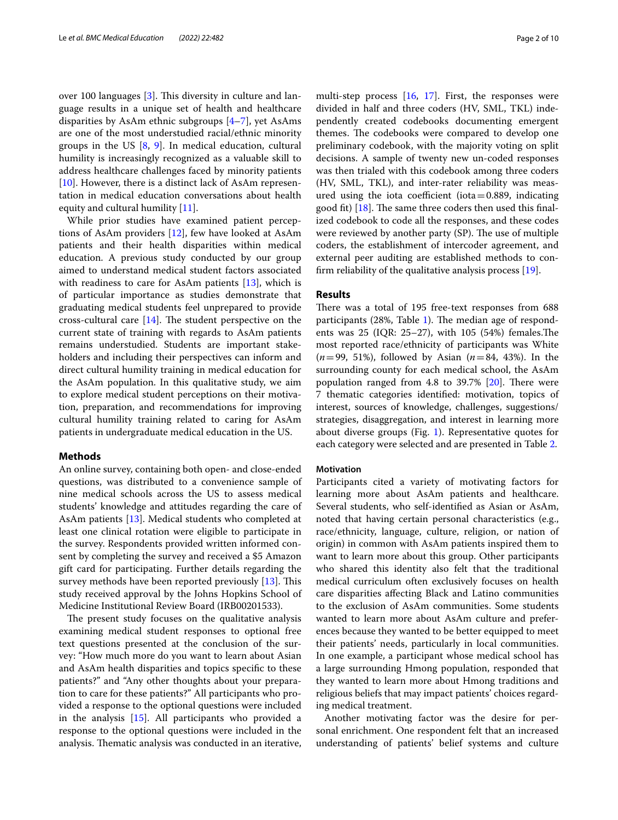over 100 languages [[3\]](#page-9-0). This diversity in culture and language results in a unique set of health and healthcare disparities by AsAm ethnic subgroups [\[4](#page-9-1)–[7\]](#page-9-2), yet AsAms are one of the most understudied racial/ethnic minority groups in the US  $[8, 9]$  $[8, 9]$  $[8, 9]$ . In medical education, cultural humility is increasingly recognized as a valuable skill to address healthcare challenges faced by minority patients [[10\]](#page-9-5). However, there is a distinct lack of AsAm representation in medical education conversations about health equity and cultural humility [[11\]](#page-9-6).

While prior studies have examined patient perceptions of AsAm providers [\[12](#page-9-7)], few have looked at AsAm patients and their health disparities within medical education. A previous study conducted by our group aimed to understand medical student factors associated with readiness to care for AsAm patients  $[13]$  $[13]$ , which is of particular importance as studies demonstrate that graduating medical students feel unprepared to provide cross-cultural care  $[14]$  $[14]$  $[14]$ . The student perspective on the current state of training with regards to AsAm patients remains understudied. Students are important stakeholders and including their perspectives can inform and direct cultural humility training in medical education for the AsAm population. In this qualitative study, we aim to explore medical student perceptions on their motivation, preparation, and recommendations for improving cultural humility training related to caring for AsAm patients in undergraduate medical education in the US.

# **Methods**

An online survey, containing both open- and close-ended questions, was distributed to a convenience sample of nine medical schools across the US to assess medical students' knowledge and attitudes regarding the care of AsAm patients [\[13](#page-9-8)]. Medical students who completed at least one clinical rotation were eligible to participate in the survey. Respondents provided written informed consent by completing the survey and received a \$5 Amazon gift card for participating. Further details regarding the survey methods have been reported previously  $[13]$ . This study received approval by the Johns Hopkins School of Medicine Institutional Review Board (IRB00201533).

The present study focuses on the qualitative analysis examining medical student responses to optional free text questions presented at the conclusion of the survey: "How much more do you want to learn about Asian and AsAm health disparities and topics specifc to these patients?" and "Any other thoughts about your preparation to care for these patients?" All participants who provided a response to the optional questions were included in the analysis [[15\]](#page-9-10). All participants who provided a response to the optional questions were included in the analysis. Thematic analysis was conducted in an iterative, multi-step process [\[16](#page-9-11), [17\]](#page-9-12). First, the responses were divided in half and three coders (HV, SML, TKL) independently created codebooks documenting emergent themes. The codebooks were compared to develop one preliminary codebook, with the majority voting on split decisions. A sample of twenty new un-coded responses was then trialed with this codebook among three coders (HV, SML, TKL), and inter-rater reliability was measured using the iota coefficient (iota=0.889, indicating good fit)  $[18]$ . The same three coders then used this finalized codebook to code all the responses, and these codes were reviewed by another party (SP). The use of multiple coders, the establishment of intercoder agreement, and external peer auditing are established methods to confrm reliability of the qualitative analysis process [\[19](#page-9-14)].

# **Results**

There was a total of 195 free-text responses from 688 participants  $(28\%$ , Table [1\)](#page-2-0). The median age of respondents was  $25$  (IQR:  $25-27$ ), with  $105$  (54%) females. The most reported race/ethnicity of participants was White (*n*=99, 51%), followed by Asian (*n*=84, 43%). In the surrounding county for each medical school, the AsAm population ranged from  $4.8$  to  $39.7\%$  [\[20](#page-9-15)]. There were 7 thematic categories identifed: motivation, topics of interest, sources of knowledge, challenges, suggestions/ strategies, disaggregation, and interest in learning more about diverse groups (Fig. [1\)](#page-3-0). Representative quotes for each category were selected and are presented in Table [2.](#page-4-0)

#### **Motivation**

Participants cited a variety of motivating factors for learning more about AsAm patients and healthcare. Several students, who self-identifed as Asian or AsAm, noted that having certain personal characteristics (e.g., race/ethnicity, language, culture, religion, or nation of origin) in common with AsAm patients inspired them to want to learn more about this group. Other participants who shared this identity also felt that the traditional medical curriculum often exclusively focuses on health care disparities afecting Black and Latino communities to the exclusion of AsAm communities. Some students wanted to learn more about AsAm culture and preferences because they wanted to be better equipped to meet their patients' needs, particularly in local communities. In one example, a participant whose medical school has a large surrounding Hmong population, responded that they wanted to learn more about Hmong traditions and religious beliefs that may impact patients' choices regarding medical treatment.

Another motivating factor was the desire for personal enrichment. One respondent felt that an increased understanding of patients' belief systems and culture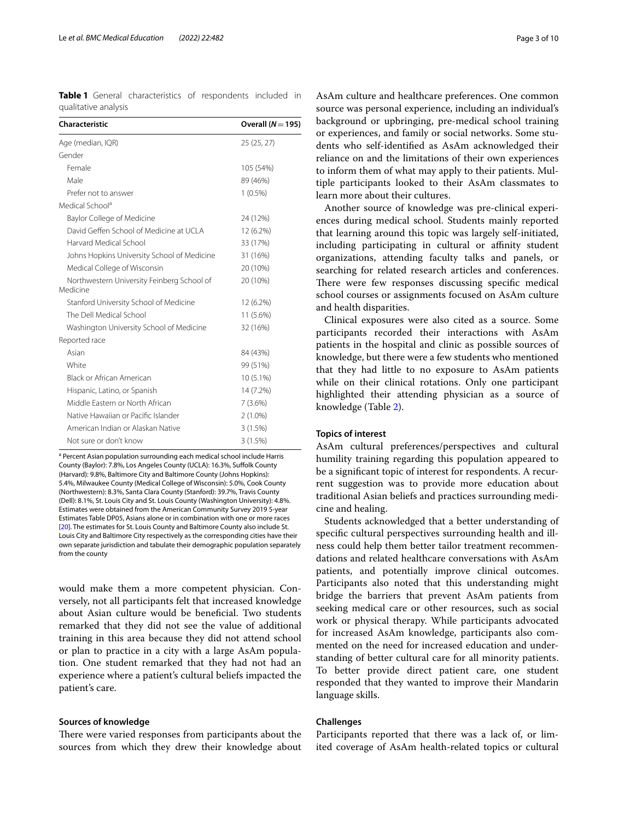<span id="page-2-0"></span>**Table 1** General characteristics of respondents included in qualitative analysis

| Characteristic                                         | Overall $(N=195)$ |
|--------------------------------------------------------|-------------------|
| Age (median, IQR)                                      | 25 (25, 27)       |
| Gender                                                 |                   |
| Female                                                 | 105 (54%)         |
| Male                                                   | 89 (46%)          |
| Prefer not to answer                                   | $1(0.5\%)$        |
| Medical School <sup>a</sup>                            |                   |
| Baylor College of Medicine                             | 24 (12%)          |
| David Geffen School of Medicine at UCLA                | 12 (6.2%)         |
| Harvard Medical School                                 | 33 (17%)          |
| Johns Hopkins University School of Medicine            | 31 (16%)          |
| Medical College of Wisconsin                           | 20 (10%)          |
| Northwestern University Feinberg School of<br>Medicine | 20 (10%)          |
| Stanford University School of Medicine                 | 12 (6.2%)         |
| The Dell Medical School                                | 11 (5.6%)         |
| Washington University School of Medicine               | 32 (16%)          |
| Reported race                                          |                   |
| Asian                                                  | 84 (43%)          |
| White                                                  | 99 (51%)          |
| Black or African American                              | $10(5.1\%)$       |
| Hispanic, Latino, or Spanish                           | 14 (7.2%)         |
| Middle Fastern or North African                        | 7(3.6%)           |
| Native Hawaiian or Pacific Islander                    | $2(1.0\%)$        |
| American Indian or Alaskan Native                      | 3(1.5%)           |
| Not sure or don't know                                 | 3(1.5%)           |

<sup>a</sup> Percent Asian population surrounding each medical school include Harris County (Baylor): 7.8%, Los Angeles County (UCLA): 16.3%, Suffolk County (Harvard): 9.8%, Baltimore City and Baltimore County (Johns Hopkins): 5.4%, Milwaukee County (Medical College of Wisconsin): 5.0%, Cook County (Northwestern): 8.3%, Santa Clara County (Stanford): 39.7%, Travis County (Dell): 8.1%, St. Louis City and St. Louis County (Washington University): 4.8%. Estimates were obtained from the American Community Survey 2019 5-year Estimates Table DP05, Asians alone or in combination with one or more races [[20\]](#page-9-15). The estimates for St. Louis County and Baltimore County also include St. Louis City and Baltimore City respectively as the corresponding cities have their own separate jurisdiction and tabulate their demographic population separately from the county

would make them a more competent physician. Conversely, not all participants felt that increased knowledge about Asian culture would be benefcial. Two students remarked that they did not see the value of additional training in this area because they did not attend school or plan to practice in a city with a large AsAm population. One student remarked that they had not had an experience where a patient's cultural beliefs impacted the patient's care.

#### **Sources of knowledge**

There were varied responses from participants about the sources from which they drew their knowledge about AsAm culture and healthcare preferences. One common source was personal experience, including an individual's background or upbringing, pre-medical school training or experiences, and family or social networks. Some students who self-identifed as AsAm acknowledged their reliance on and the limitations of their own experiences to inform them of what may apply to their patients. Multiple participants looked to their AsAm classmates to learn more about their cultures.

Another source of knowledge was pre-clinical experiences during medical school. Students mainly reported that learning around this topic was largely self-initiated, including participating in cultural or affinity student organizations, attending faculty talks and panels, or searching for related research articles and conferences. There were few responses discussing specific medical school courses or assignments focused on AsAm culture and health disparities.

Clinical exposures were also cited as a source. Some participants recorded their interactions with AsAm patients in the hospital and clinic as possible sources of knowledge, but there were a few students who mentioned that they had little to no exposure to AsAm patients while on their clinical rotations. Only one participant highlighted their attending physician as a source of knowledge (Table [2\)](#page-4-0).

# **Topics of interest**

AsAm cultural preferences/perspectives and cultural humility training regarding this population appeared to be a signifcant topic of interest for respondents. A recurrent suggestion was to provide more education about traditional Asian beliefs and practices surrounding medicine and healing.

Students acknowledged that a better understanding of specifc cultural perspectives surrounding health and illness could help them better tailor treatment recommendations and related healthcare conversations with AsAm patients, and potentially improve clinical outcomes. Participants also noted that this understanding might bridge the barriers that prevent AsAm patients from seeking medical care or other resources, such as social work or physical therapy. While participants advocated for increased AsAm knowledge, participants also commented on the need for increased education and understanding of better cultural care for all minority patients. To better provide direct patient care, one student responded that they wanted to improve their Mandarin language skills.

# **Challenges**

Participants reported that there was a lack of, or limited coverage of AsAm health-related topics or cultural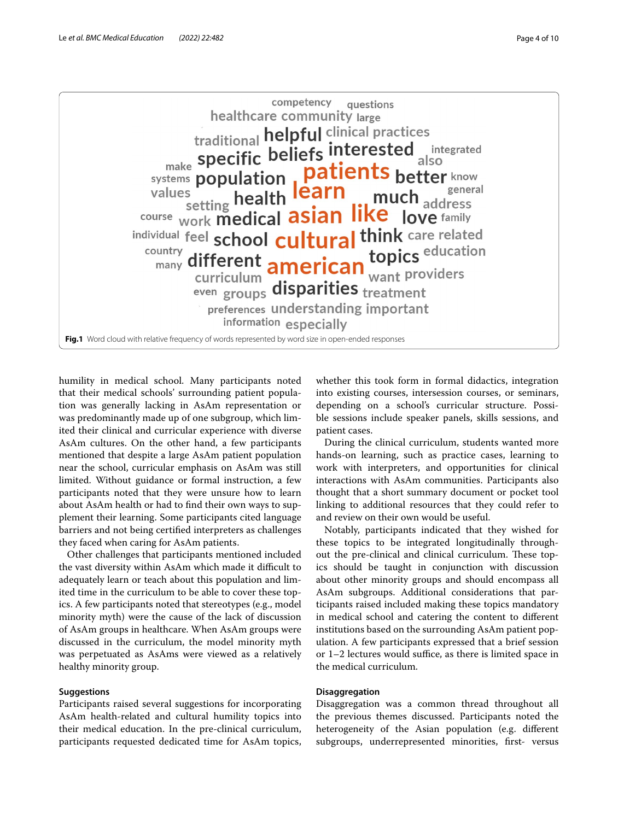

<span id="page-3-0"></span>humility in medical school. Many participants noted that their medical schools' surrounding patient population was generally lacking in AsAm representation or was predominantly made up of one subgroup, which limited their clinical and curricular experience with diverse AsAm cultures. On the other hand, a few participants mentioned that despite a large AsAm patient population near the school, curricular emphasis on AsAm was still limited. Without guidance or formal instruction, a few participants noted that they were unsure how to learn about AsAm health or had to fnd their own ways to supplement their learning. Some participants cited language barriers and not being certifed interpreters as challenges they faced when caring for AsAm patients.

Other challenges that participants mentioned included the vast diversity within AsAm which made it difficult to adequately learn or teach about this population and limited time in the curriculum to be able to cover these topics. A few participants noted that stereotypes (e.g., model minority myth) were the cause of the lack of discussion of AsAm groups in healthcare. When AsAm groups were discussed in the curriculum, the model minority myth was perpetuated as AsAms were viewed as a relatively healthy minority group.

# **Suggestions**

Participants raised several suggestions for incorporating AsAm health-related and cultural humility topics into their medical education. In the pre-clinical curriculum, participants requested dedicated time for AsAm topics, whether this took form in formal didactics, integration into existing courses, intersession courses, or seminars, depending on a school's curricular structure. Possible sessions include speaker panels, skills sessions, and patient cases.

During the clinical curriculum, students wanted more hands-on learning, such as practice cases, learning to work with interpreters, and opportunities for clinical interactions with AsAm communities. Participants also thought that a short summary document or pocket tool linking to additional resources that they could refer to and review on their own would be useful.

Notably, participants indicated that they wished for these topics to be integrated longitudinally throughout the pre-clinical and clinical curriculum. These topics should be taught in conjunction with discussion about other minority groups and should encompass all AsAm subgroups. Additional considerations that participants raised included making these topics mandatory in medical school and catering the content to diferent institutions based on the surrounding AsAm patient population. A few participants expressed that a brief session or  $1-2$  lectures would suffice, as there is limited space in the medical curriculum.

# **Disaggregation**

Disaggregation was a common thread throughout all the previous themes discussed. Participants noted the heterogeneity of the Asian population (e.g. diferent subgroups, underrepresented minorities, first- versus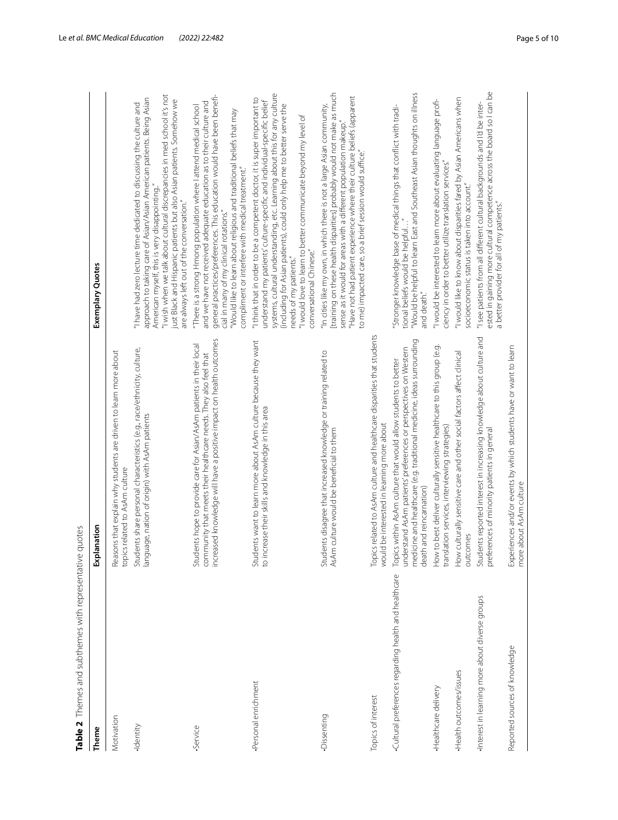<span id="page-4-0"></span>

| Table 2 Themes and subthemes with representative quotes |                                                                                                                                                                                                                                         |                                                                                                                                                                                                                                                                                                                                                                                                                                      |
|---------------------------------------------------------|-----------------------------------------------------------------------------------------------------------------------------------------------------------------------------------------------------------------------------------------|--------------------------------------------------------------------------------------------------------------------------------------------------------------------------------------------------------------------------------------------------------------------------------------------------------------------------------------------------------------------------------------------------------------------------------------|
| Theme                                                   | Explanation                                                                                                                                                                                                                             | Exemplary Quotes                                                                                                                                                                                                                                                                                                                                                                                                                     |
| Motivation                                              | Reasons that explain why students are driven to learn more about<br>topics related to AsAm culture                                                                                                                                      |                                                                                                                                                                                                                                                                                                                                                                                                                                      |
| ·Identity                                               | Students share personal characteristics (e.g., race/ethnicity, culture,<br>language, nation of origin) with AsAm patients                                                                                                               | "I wish when we talk about cultural discrepancies in med school it's not<br>approach to taking care of Asian/Asian American patients. Being Asian<br>just Black and Hispanic patients but also Asian patients. Somehow we<br>"I have had zero lecture time dedicated to discussing the culture and<br>American myself, this is very disappointing."<br>are always left out of the conversation."                                     |
| ·Service                                                | increased knowledge will have a positive impact on health outcomes<br>Students hope to provide care for Asian/AsAm patients in their local<br>community that meets their healthcare needs. They also feel that                          | general practices/preferences. This education would have been benefi-<br>and we have not received adequate education as to their culture and<br>"There is a strong Hmong population where I attend medical school<br>"Would like to learn about religious and traditional beliefs that may<br>compliment or interfere with medical treatment."<br>cial in many of my clinical rotations."                                            |
| Personal enrichment                                     | Students want to learn more about AsAm culture because they want<br>to increase their skills and knowledge in this area                                                                                                                 | systems, cultural understanding, etc. Learning about this for any culture<br>"I think that in order to be a competent doctor, it is super important to<br>understand my patients' culture-specific and individual-specific belief<br>(including for Asian patients), could only help me to better serve the<br>"I would love to learn to better communicate beyond my level of<br>conversational Chinese."<br>needs of my patients." |
| Dissenting                                              | Students disagree that increased knowledge or training related to<br>AsAm culture would be beneficial to them                                                                                                                           | [training on these health disparities] probably would not make as much<br>"Have not had patient experience where their culture beliefs (apparent<br>"In cities like my own, in which there is not a large Asian community,<br>sense as it would for areas with a different population makeup."<br>to me) impacted care, so a brief session would suffice."                                                                           |
| Topics of interest                                      | Topics related to AsAm culture and healthcare disparities that students<br>would be interested in learning more about                                                                                                                   |                                                                                                                                                                                                                                                                                                                                                                                                                                      |
| Cultural preferences regarding health and healthcare    | medicine and healthcare (e.g. traditional medicine, ideas surrounding<br>understand AsAm patients' preferences or perspectives on Western<br>Topics within AsAm culture that would allow students to better<br>death and reincarnation) | "Would be helpful to learn East and Southeast Asian thoughts on illness<br>"Stronger knowledge base of medical things that conflict with tradi-<br>tional beliefs would be helpful<br>and death."                                                                                                                                                                                                                                    |
| Healthcare delivery                                     | How to best deliver culturally sensitive healthcare to this group (e.g.<br>translation services, interviewing strategies)                                                                                                               | "I would be interested to learn more about evaluating language profi-<br>ciency in order to better utilize translation services."                                                                                                                                                                                                                                                                                                    |
| Health outcomes/issues                                  | How culturally sensitive care and other social factors affect clinical<br>outcomes                                                                                                                                                      | "I would like to know about disparities fared by Asian Americans when<br>socioeconomic status is taken into account."                                                                                                                                                                                                                                                                                                                |
| Interest in learning more about diverse groups          | Students reported interest in increasing knowledge about culture and<br>preferences of minority patients in general                                                                                                                     | ested in gaining more cultural competence across the board so I can be<br>"I see patients from all different cultural backgrounds and I'd be inter-<br>a better provider for all of my patients."                                                                                                                                                                                                                                    |
| Reported sources of knowledge                           | Experiences and/or events by which students have or want to learn<br>more about AsAm culture                                                                                                                                            |                                                                                                                                                                                                                                                                                                                                                                                                                                      |
|                                                         |                                                                                                                                                                                                                                         |                                                                                                                                                                                                                                                                                                                                                                                                                                      |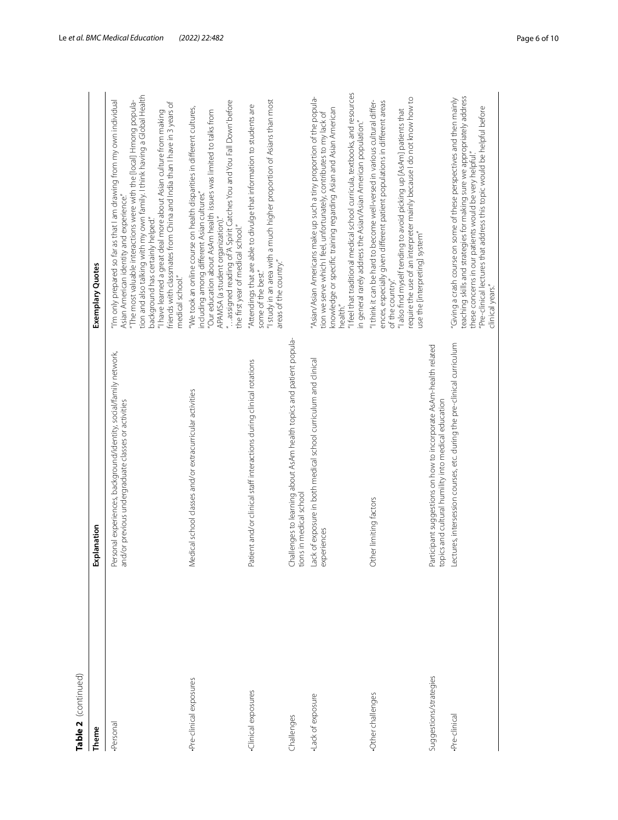| ׇׇ֦֡֡֡                 |
|------------------------|
|                        |
|                        |
|                        |
| )<br>  )<br>  )<br>  ) |
| Ξ                      |
|                        |
|                        |
| ົ                      |
| d                      |
|                        |

| Table 2  (continued)   |                                                                                                                              |                                                                                                                                                                                                                                                                                                                                                                                                                                                                              |
|------------------------|------------------------------------------------------------------------------------------------------------------------------|------------------------------------------------------------------------------------------------------------------------------------------------------------------------------------------------------------------------------------------------------------------------------------------------------------------------------------------------------------------------------------------------------------------------------------------------------------------------------|
| Theme                  | lanation<br>£                                                                                                                | Exemplary Quotes                                                                                                                                                                                                                                                                                                                                                                                                                                                             |
| Personal               | Personal experiences, background/identity, social/family network,<br>and/or previous undergraduate classes or activities     | tion and also talking with my own family. I think having a Global Health<br>"I'm only prepared so far as that I am drawing from my own individual<br>"The most valuable interactions were with the [local] Hmong popula-<br>friends with classmates from China and India than I have in 3 years of<br>"I have learned a great deal more about Asian culture from making<br>Asian American identity and experience."<br>background has certainly helped."<br>medical school." |
| Pre-clinical exposures | Medical school classes and/or extracurricular activities                                                                     | "assigned reading of 'A Spirit Catches You and You Fall Down' before<br>"We took an online course on health disparities in different cultures,<br>"Our education about AsAm health issues was limited to talks from<br>including among different Asian cultures."<br>APAMSA (a student organization)."<br>the first year of medical school."                                                                                                                                 |
| Clinical exposures     | Patient and/or clinical staff interactions during clinical rotations                                                         | "I study in an area with a much higher proportion of Asians than most<br>"Attendings that are able to divulge that information to students are<br>areas of the country."<br>some of the best."                                                                                                                                                                                                                                                                               |
| Challenges             | Challenges to learning about AsAm health topics and patient popula-<br>tions in medical school                               |                                                                                                                                                                                                                                                                                                                                                                                                                                                                              |
| Lack of exposure       | Lack of exposure in both medical school curriculum and clinical<br>experiences                                               | "I feel that traditional medical school curricula, textbooks, and resources<br>'Asian/Asian Americans make up such a tiny proportion of the popula-<br>knowledge or specific training regarding Asian and Asian American<br>tion we serve which I feel, unfortunately, contributes to my lack of<br>in general rarely address the Asian/Asian American population.<br>health."                                                                                               |
| Other challenges       | Other limiting factors                                                                                                       | require the use of an interpreter mainly because I do not know how to<br>"I think it can be hard to become well-versed in various cultural differ-<br>ences, especially given different patient populations in different areas<br>"I also find myself tending to avoid picking up [AsAm] patients that<br>use the [interpreting] system"<br>of the country."                                                                                                                 |
| Suggestions/strategies | Participant suggestions on how to incorporate AsAm-health related<br>cs and cultural humility into medical education<br>topi |                                                                                                                                                                                                                                                                                                                                                                                                                                                                              |
| Pre-clinical           | Lectures, intersession courses, etc. during the pre-clinical curriculum                                                      | teaching skills and strategies for making sure we appropriately address<br>"Giving a crash course on some of these perspectives and then mainly<br>"Pre-clinical lectures that address this topic would be helpful before<br>these concerns in our patients would be very helpful."<br>clinical years."                                                                                                                                                                      |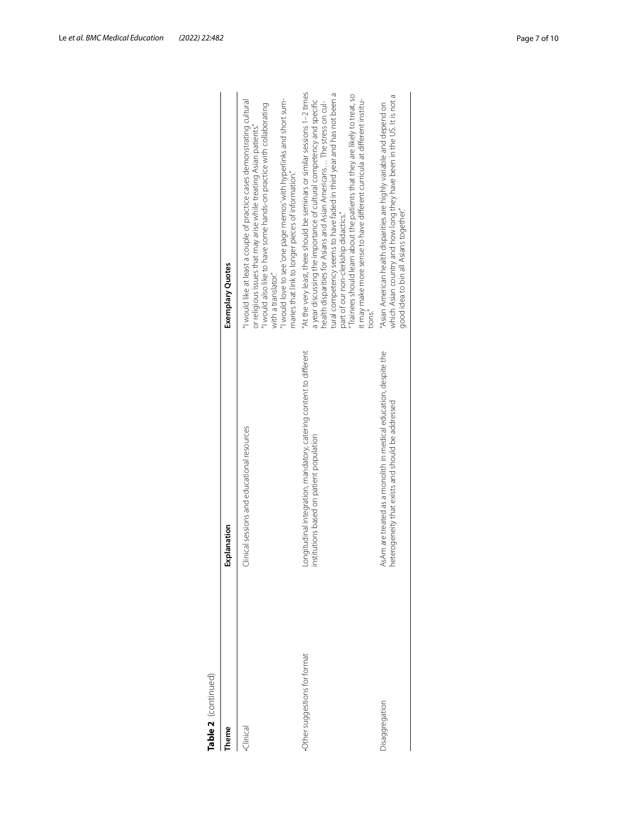| ;        |   |
|----------|---|
|          |   |
|          |   |
|          |   |
|          |   |
|          |   |
|          | i |
| ī        |   |
|          |   |
|          |   |
|          |   |
|          |   |
| ֖֬֕֓֕֓֕֓ |   |
|          |   |
| i        |   |
|          |   |
| Į        |   |
|          |   |
|          |   |
|          |   |
|          |   |
|          |   |
| r        |   |
|          |   |
|          |   |
|          |   |
| D<br>c   |   |
|          |   |
|          |   |
|          |   |
| 5        |   |
|          |   |
|          |   |
| S        |   |
|          |   |
|          |   |

| <b>Theme</b>                 | Explanation                                                                                                           | Exemplary Quotes                                                                                                                                                                                                                                                                                                                                                                                                                                                                                                 |
|------------------------------|-----------------------------------------------------------------------------------------------------------------------|------------------------------------------------------------------------------------------------------------------------------------------------------------------------------------------------------------------------------------------------------------------------------------------------------------------------------------------------------------------------------------------------------------------------------------------------------------------------------------------------------------------|
| Clinical                     | Clinical sessions and educational resources                                                                           | I would love to see 'one page memos' with hyperlinks and short sum-<br>"I would like at least a couple of practice cases demonstrating cultural<br>I would also like to have some hands-on practice with collaborating<br>or religious issues that may arise while treating Asian patients."<br>maries that link to longer pieces of information."<br>with a translator.                                                                                                                                         |
| Other suggestions for format | Longitudinal integration, mandatory, catering content to different<br>institutions based on patient population        | "At the very least, there should be seminars or similar sessions 1-2 times<br>tural competency seems to have faded in third year and has not been a<br>Trainees should learn about the patients that they are likely to treat, so<br>it may make more sense to have different curricula at different institu-<br>a year discussing the importance of cultural competency and specific<br>health disparities for Asians and Asian Americans The stress on cul-<br>part of our non-clerkship didactics."<br>tions. |
| Jisaggregation               | AsAm are treated as a monolith in medical education, despite the<br>heterogeneity that exists and should be addressed | which Asian country and how long they have been in the US. It is not a<br>"Asian American health disparities are highly variable and depend on<br>good idea to bin all Asians together."                                                                                                                                                                                                                                                                                                                         |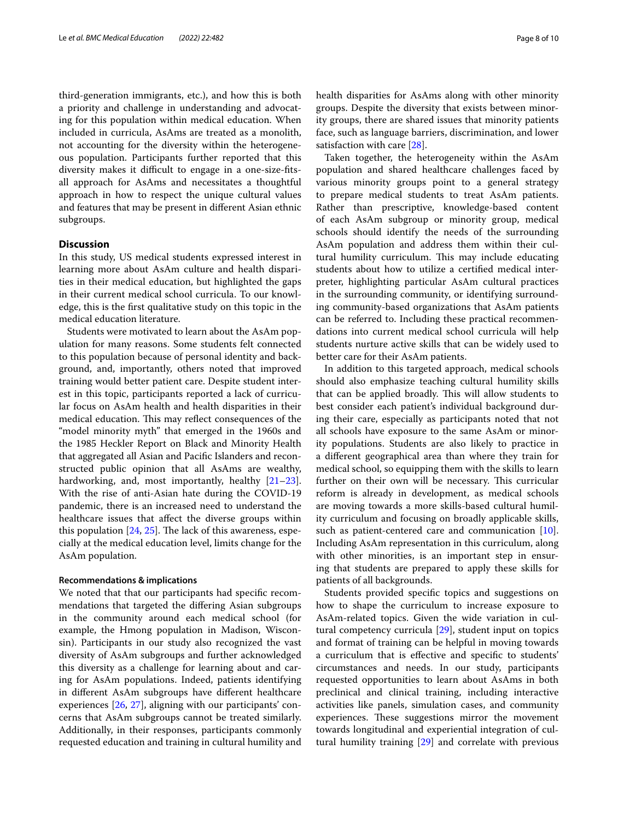third-generation immigrants, etc.), and how this is both a priority and challenge in understanding and advocating for this population within medical education. When included in curricula, AsAms are treated as a monolith, not accounting for the diversity within the heterogeneous population. Participants further reported that this diversity makes it difficult to engage in a one-size-fitsall approach for AsAms and necessitates a thoughtful approach in how to respect the unique cultural values and features that may be present in diferent Asian ethnic subgroups.

# **Discussion**

In this study, US medical students expressed interest in learning more about AsAm culture and health disparities in their medical education, but highlighted the gaps in their current medical school curricula. To our knowledge, this is the frst qualitative study on this topic in the medical education literature.

Students were motivated to learn about the AsAm population for many reasons. Some students felt connected to this population because of personal identity and background, and, importantly, others noted that improved training would better patient care. Despite student interest in this topic, participants reported a lack of curricular focus on AsAm health and health disparities in their medical education. This may reflect consequences of the "model minority myth" that emerged in the 1960s and the 1985 Heckler Report on Black and Minority Health that aggregated all Asian and Pacifc Islanders and reconstructed public opinion that all AsAms are wealthy, hardworking, and, most importantly, healthy  $[21-23]$  $[21-23]$  $[21-23]$ . With the rise of anti-Asian hate during the COVID-19 pandemic, there is an increased need to understand the healthcare issues that afect the diverse groups within this population  $[24, 25]$  $[24, 25]$  $[24, 25]$  $[24, 25]$  $[24, 25]$ . The lack of this awareness, especially at the medical education level, limits change for the AsAm population.

#### **Recommendations & implications**

We noted that that our participants had specifc recommendations that targeted the difering Asian subgroups in the community around each medical school (for example, the Hmong population in Madison, Wisconsin). Participants in our study also recognized the vast diversity of AsAm subgroups and further acknowledged this diversity as a challenge for learning about and caring for AsAm populations. Indeed, patients identifying in diferent AsAm subgroups have diferent healthcare experiences [[26,](#page-9-20) [27\]](#page-9-21), aligning with our participants' concerns that AsAm subgroups cannot be treated similarly. Additionally, in their responses, participants commonly requested education and training in cultural humility and health disparities for AsAms along with other minority groups. Despite the diversity that exists between minority groups, there are shared issues that minority patients face, such as language barriers, discrimination, and lower satisfaction with care [[28](#page-9-22)].

Taken together, the heterogeneity within the AsAm population and shared healthcare challenges faced by various minority groups point to a general strategy to prepare medical students to treat AsAm patients. Rather than prescriptive, knowledge-based content of each AsAm subgroup or minority group, medical schools should identify the needs of the surrounding AsAm population and address them within their cultural humility curriculum. This may include educating students about how to utilize a certifed medical interpreter, highlighting particular AsAm cultural practices in the surrounding community, or identifying surrounding community-based organizations that AsAm patients can be referred to. Including these practical recommendations into current medical school curricula will help students nurture active skills that can be widely used to better care for their AsAm patients.

In addition to this targeted approach, medical schools should also emphasize teaching cultural humility skills that can be applied broadly. This will allow students to best consider each patient's individual background during their care, especially as participants noted that not all schools have exposure to the same AsAm or minority populations. Students are also likely to practice in a diferent geographical area than where they train for medical school, so equipping them with the skills to learn further on their own will be necessary. This curricular reform is already in development, as medical schools are moving towards a more skills-based cultural humility curriculum and focusing on broadly applicable skills, such as patient-centered care and communication [\[10](#page-9-5)]. Including AsAm representation in this curriculum, along with other minorities, is an important step in ensuring that students are prepared to apply these skills for patients of all backgrounds.

Students provided specifc topics and suggestions on how to shape the curriculum to increase exposure to AsAm-related topics. Given the wide variation in cultural competency curricula [\[29](#page-9-23)], student input on topics and format of training can be helpful in moving towards a curriculum that is efective and specifc to students' circumstances and needs. In our study, participants requested opportunities to learn about AsAms in both preclinical and clinical training, including interactive activities like panels, simulation cases, and community experiences. These suggestions mirror the movement towards longitudinal and experiential integration of cultural humility training [\[29](#page-9-23)] and correlate with previous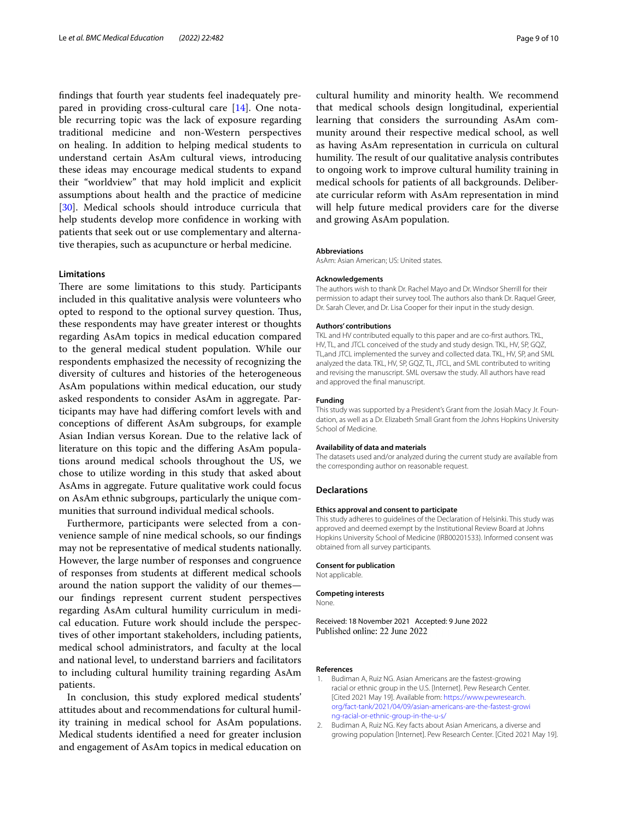fndings that fourth year students feel inadequately prepared in providing cross-cultural care [[14\]](#page-9-9). One notable recurring topic was the lack of exposure regarding traditional medicine and non-Western perspectives on healing. In addition to helping medical students to understand certain AsAm cultural views, introducing these ideas may encourage medical students to expand their "worldview" that may hold implicit and explicit assumptions about health and the practice of medicine [[30\]](#page-9-24). Medical schools should introduce curricula that help students develop more confdence in working with patients that seek out or use complementary and alternative therapies, such as acupuncture or herbal medicine.

# **Limitations**

There are some limitations to this study. Participants included in this qualitative analysis were volunteers who opted to respond to the optional survey question. Tus, these respondents may have greater interest or thoughts regarding AsAm topics in medical education compared to the general medical student population. While our respondents emphasized the necessity of recognizing the diversity of cultures and histories of the heterogeneous AsAm populations within medical education, our study asked respondents to consider AsAm in aggregate. Participants may have had difering comfort levels with and conceptions of diferent AsAm subgroups, for example Asian Indian versus Korean. Due to the relative lack of literature on this topic and the difering AsAm populations around medical schools throughout the US, we chose to utilize wording in this study that asked about AsAms in aggregate. Future qualitative work could focus on AsAm ethnic subgroups, particularly the unique communities that surround individual medical schools.

Furthermore, participants were selected from a convenience sample of nine medical schools, so our fndings may not be representative of medical students nationally. However, the large number of responses and congruence of responses from students at diferent medical schools around the nation support the validity of our themes our fndings represent current student perspectives regarding AsAm cultural humility curriculum in medical education. Future work should include the perspectives of other important stakeholders, including patients, medical school administrators, and faculty at the local and national level, to understand barriers and facilitators to including cultural humility training regarding AsAm patients.

In conclusion, this study explored medical students' attitudes about and recommendations for cultural humility training in medical school for AsAm populations. Medical students identifed a need for greater inclusion and engagement of AsAm topics in medical education on

cultural humility and minority health. We recommend that medical schools design longitudinal, experiential learning that considers the surrounding AsAm community around their respective medical school, as well as having AsAm representation in curricula on cultural humility. The result of our qualitative analysis contributes to ongoing work to improve cultural humility training in medical schools for patients of all backgrounds. Deliberate curricular reform with AsAm representation in mind will help future medical providers care for the diverse and growing AsAm population.

#### **Abbreviations**

AsAm: Asian American; US: United states.

#### **Acknowledgements**

The authors wish to thank Dr. Rachel Mayo and Dr. Windsor Sherrill for their permission to adapt their survey tool. The authors also thank Dr. Raquel Greer, Dr. Sarah Clever, and Dr. Lisa Cooper for their input in the study design.

#### **Authors' contributions**

TKL and HV contributed equally to this paper and are co-frst authors. TKL, HV, TL, and JTCL conceived of the study and study design. TKL, HV, SP, GQZ, TL,and JTCL implemented the survey and collected data. TKL, HV, SP, and SML analyzed the data. TKL, HV, SP, GQZ, TL, JTCL, and SML contributed to writing and revising the manuscript. SML oversaw the study. All authors have read and approved the fnal manuscript.

#### **Funding**

This study was supported by a President's Grant from the Josiah Macy Jr. Foundation, as well as a Dr. Elizabeth Small Grant from the Johns Hopkins University School of Medicine.

#### **Availability of data and materials**

The datasets used and/or analyzed during the current study are available from the corresponding author on reasonable request.

#### **Declarations**

#### **Ethics approval and consent to participate**

This study adheres to guidelines of the Declaration of Helsinki. This study was approved and deemed exempt by the Institutional Review Board at Johns Hopkins University School of Medicine (IRB00201533). Informed consent was obtained from all survey participants.

#### **Consent for publication**

Not applicable.

#### **Competing interests**

None.

Received: 18 November 2021 Accepted: 9 June 2022 Published online: 22 June 2022

#### **References**

- <span id="page-8-0"></span>1. Budiman A, Ruiz NG. Asian Americans are the fastest-growing racial or ethnic group in the U.S. [Internet]. Pew Research Center. [Cited 2021 May 19]. Available from: [https://www.pewresearch.](https://www.pewresearch.org/fact-tank/2021/04/09/asian-americans-are-the-fastest-growing-racial-or-ethnic-group-in-the-u-s/) [org/fact-tank/2021/04/09/asian-americans-are-the-fastest-growi](https://www.pewresearch.org/fact-tank/2021/04/09/asian-americans-are-the-fastest-growing-racial-or-ethnic-group-in-the-u-s/) [ng-racial-or-ethnic-group-in-the-u-s/](https://www.pewresearch.org/fact-tank/2021/04/09/asian-americans-are-the-fastest-growing-racial-or-ethnic-group-in-the-u-s/)
- <span id="page-8-1"></span>2. Budiman A, Ruiz NG. Key facts about Asian Americans, a diverse and growing population [Internet]. Pew Research Center. [Cited 2021 May 19].